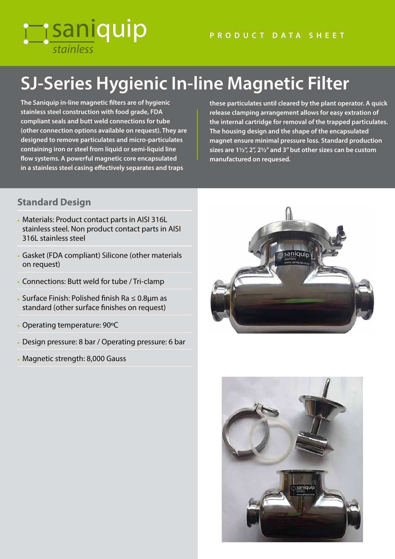## *stainless* **Tisaniquip**

# **SJ-Series Hygienic In-line Magnetic Filter**

**The Saniquip in-line magnetic filters are of hygienic stainless steel construction with food grade, FDA compliant seals and butt weld connections for tube (other connection options available on request). They are designed to remove particulates and micro-particulates containing iron or steel from liquid or semi-liquid line flow systems. A powerful magnetic core encapsulated in a stainless steel casing effectively separates and traps** 

**these particulates until cleared by the plant operator. A quick release clamping arrangement allows for easy extration of the internal cartridge for removal of the trapped particulates. The housing design and the shape of the encapsulated magnet ensure minimal pressure loss. Standard production sizes are 1½", 2", 2½" and 3" but other sizes can be custom manufactured on requesed.**

#### **Standard Design**

- Materials: Product contact parts in AISI 316L stainless steel. Non product contact parts in AISI 316L stainless steel
- Gasket (FDA compliant) Silicone (other materials on request)
- Connections: Butt weld for tube / Tri-clamp
- Surface Finish: Polished finish Ra ≤ 0.8µm as standard (other surface finishes on request)
- Operating temperature: 90ºC
- Design pressure: 8 bar / Operating pressure: 6 bar
- Magnetic strength: 8,000 Gauss